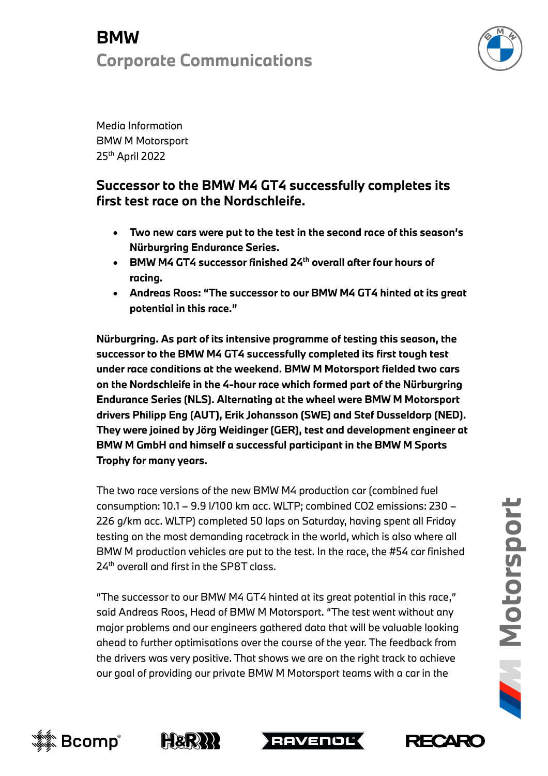### **BMW Corporate Communications**



Media Information BMW M Motorsport 25th April 2022

#### **Successor to the BMW M4 GT4 successfully completes its first test race on the Nordschleife.**

- **Two new cars were put to the test in the second race of this season's Nürburgring Endurance Series.**
- **BMW M4 GT4 successor finished 24th overall after four hours of racing.**
- **Andreas Roos: "The successor to our BMW M4 GT4 hinted at its great potential in this race."**

**Nürburgring. As part of its intensive programme of testing this season, the successor to the BMW M4 GT4 successfully completed its first tough test under race conditions at the weekend. BMW M Motorsport fielded two cars on the Nordschleife in the 4-hour race which formed part of the Nürburgring Endurance Series (NLS). Alternating at the wheel were BMW M Motorsport drivers Philipp Eng (AUT), Erik Johansson (SWE) and Stef Dusseldorp (NED). They were joined by Jörg Weidinger (GER), test and development engineer at BMW M GmbH and himself a successful participant in the BMW M Sports Trophy for many years.** 

The two race versions of the new BMW M4 production car (combined fuel consumption: 10.1 – 9.9 l/100 km acc. WLTP; combined CO2 emissions: 230 – 226 g/km acc. WLTP) completed 50 laps on Saturday, having spent all Friday testing on the most demanding racetrack in the world, which is also where all BMW M production vehicles are put to the test. In the race, the #54 car finished 24<sup>th</sup> overall and first in the SP8T class.

"The successor to our BMW M4 GT4 hinted at its great potential in this race," said Andreas Roos, Head of BMW M Motorsport. "The test went without any major problems and our engineers gathered data that will be valuable looking ahead to further optimisations over the course of the year. The feedback from the drivers was very positive. That shows we are on the right track to achieve our goal of providing our private BMW M Motorsport teams with a car in the







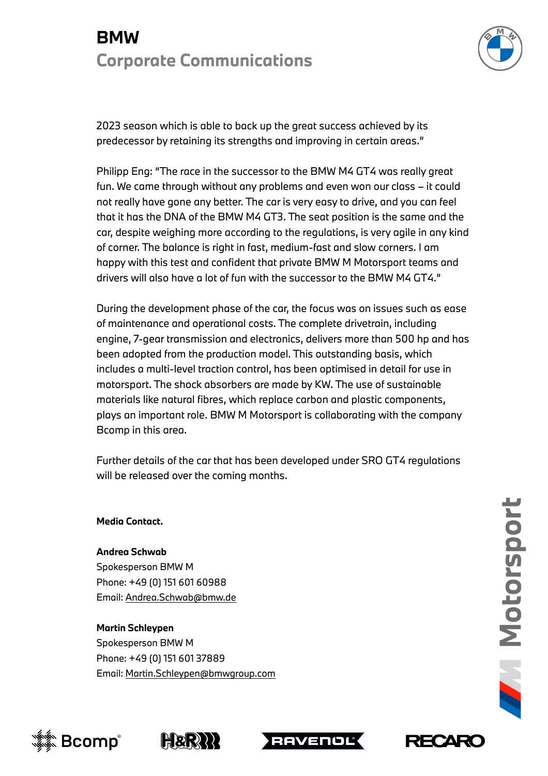## **BMW Corporate Communications**



2023 season which is able to back up the great success achieved by its predecessor by retaining its strengths and improving in certain areas."

Philipp Eng: "The race in the successor to the BMW M4 GT4 was really great fun. We came through without any problems and even won our class – it could not really have gone any better. The car is very easy to drive, and you can feel that it has the DNA of the BMW M4 GT3. The seat position is the same and the car, despite weighing more according to the regulations, is very agile in any kind of corner. The balance is right in fast, medium-fast and slow corners. I am happy with this test and confident that private BMW M Motorsport teams and drivers will also have a lot of fun with the successor to the BMW M4 GT4."

During the development phase of the car, the focus was on issues such as ease of maintenance and operational costs. The complete drivetrain, including engine, 7-gear transmission and electronics, delivers more than 500 hp and has been adopted from the production model. This outstanding basis, which includes a multi-level traction control, has been optimised in detail for use in motorsport. The shock absorbers are made by KW. The use of sustainable materials like natural fibres, which replace carbon and plastic components, plays an important role. BMW M Motorsport is collaborating with the company Bcomp in this area.

Further details of the car that has been developed under SRO GT4 regulations will be released over the coming months.

**Media Contact.**

**Andrea Schwab**  Spokesperson BMW M Phone: +49 (0) 151 601 60988 Email: Andrea.Schwab@bmw.de

**Martin Schleypen** Spokesperson BMW M Phone: +49 (0) 151 601 37889 Email: Martin.Schleypen@bmwgroup.com

**RECARG**